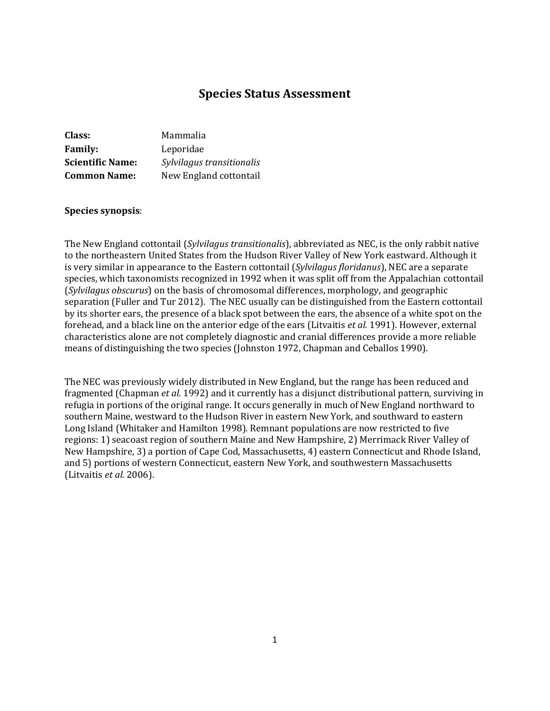# **Species Status Assessment**

| Class:                  | Mammalia                  |
|-------------------------|---------------------------|
| <b>Family:</b>          | Leporidae                 |
| <b>Scientific Name:</b> | Sylvilagus transitionalis |
| <b>Common Name:</b>     | New England cottontail    |

#### **Species synopsis**:

The New England cottontail (*Sylvilagus transitionalis*), abbreviated as NEC, is the only rabbit native to the northeastern United States from the Hudson River Valley of New York eastward. Although it is very similar in appearance to the Eastern cottontail (*Sylvilagus floridanus*), NEC are a separate species, which taxonomists recognized in 1992 when it was split off from the Appalachian cottontail (*Sylvilagus obscurus*) on the basis of chromosomal differences, morphology, and geographic separation (Fuller and Tur 2012). The NEC usually can be distinguished from the Eastern cottontail by its shorter ears, the presence of a black spot between the ears, the absence of a white spot on the forehead, and a black line on the anterior edge of the ears (Litvaitis *et al.* 1991). However, external characteristics alone are not completely diagnostic and cranial differences provide a more reliable means of distinguishing the two species (Johnston 1972, Chapman and Ceballos 1990).

The NEC was previously widely distributed in New England, but the range has been reduced and fragmented (Chapman *et al.* 1992) and it currently has a disjunct distributional pattern, surviving in refugia in portions of the original range. It occurs generally in much of New England northward to southern Maine, westward to the Hudson River in eastern New York, and southward to eastern Long Island (Whitaker and Hamilton 1998). Remnant populations are now restricted to five regions: 1) seacoast region of southern Maine and New Hampshire, 2) Merrimack River Valley of New Hampshire, 3) a portion of Cape Cod, Massachusetts, 4) eastern Connecticut and Rhode Island, and 5) portions of western Connecticut, eastern New York, and southwestern Massachusetts (Litvaitis *et al.* 2006).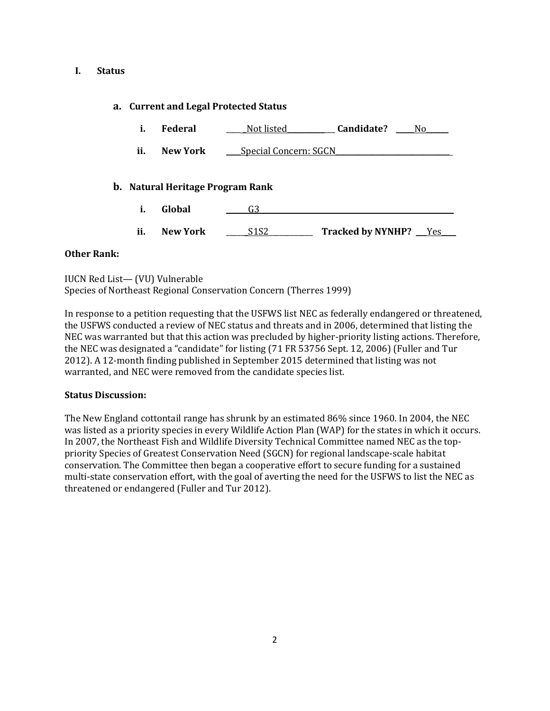### **I. Status**

# **a. Current and Legal Protected Status**

- i. Federal <u>Mot listed</u> andidate? No
- **ii. New York Special Concern: SGCN**

# **b. Natural Heritage Program Rank**

- **i. Global** \_\_\_\_\_\_G3\_\_\_\_\_\_\_\_\_\_\_\_\_\_\_\_\_\_\_\_\_\_\_\_\_\_\_\_\_\_\_\_\_\_\_\_\_\_\_\_\_\_\_\_\_\_\_\_\_\_\_\_\_
- **ii. New York** \_\_\_\_\_\_S1S2\_\_\_\_\_\_\_\_\_\_\_\_ **Tracked by NYNHP?** \_\_\_Yes\_\_\_\_

# **Other Rank:**

| IUCN Red List-(VU) Vulnerable                                     |  |
|-------------------------------------------------------------------|--|
| Species of Northeast Regional Conservation Concern (Therres 1999) |  |

In response to a petition requesting that the USFWS list NEC as federally endangered or threatened, the USFWS conducted a review of NEC status and threats and in 2006, determined that listing the NEC was warranted but that this action was precluded by higher-priority listing actions. Therefore, the NEC was designated a "candidate" for listing (71 FR 53756 Sept. 12, 2006) (Fuller and Tur 2012). A 12-month finding published in September 2015 determined that listing was not warranted, and NEC were removed from the candidate species list.

# **Status Discussion:**

The New England cottontail range has shrunk by an estimated 86% since 1960. In 2004, the NEC was listed as a priority species in every Wildlife Action Plan (WAP) for the states in which it occurs. In 2007, the Northeast Fish and Wildlife Diversity Technical Committee named NEC as the toppriority Species of Greatest Conservation Need (SGCN) for regional landscape-scale habitat conservation. The Committee then began a cooperative effort to secure funding for a sustained multi-state conservation effort, with the goal of averting the need for the USFWS to list the NEC as threatened or endangered (Fuller and Tur 2012).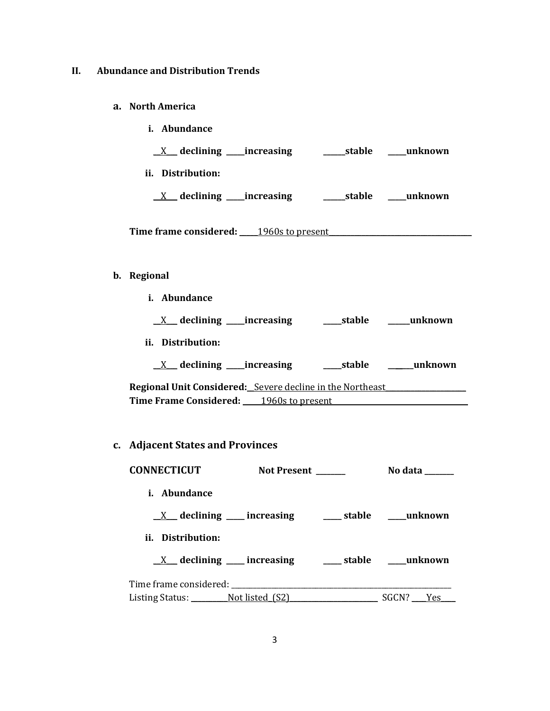# **II. Abundance and Distribution Trends**

#### **a. North America**

| Abundance<br>i.                            |              |         |
|--------------------------------------------|--------------|---------|
| $X$ declining _____increasing              | __stable     | unknown |
| ii. Distribution:                          |              |         |
| $X$ declining _____increasing              | ______stable | unknown |
| Time frame considered:<br>1960s to present |              |         |

### **b. Regional**

**i. Abundance**

| $\frac{\lambda}{\lambda}$ |  | ___increasing | _stable | unknown |
|---------------------------|--|---------------|---------|---------|
|---------------------------|--|---------------|---------|---------|

**ii. Distribution:**

\_\_X\_\_\_ **declining \_\_\_\_\_increasing \_\_\_\_\_stable \_\_\_\_\_\_\_unknown**

Regional Unit Considered: Severe decline in the Northeast **Time Frame Considered:** \_\_\_\_\_1960s to present\_\_\_\_\_\_\_\_\_\_\_\_\_\_\_\_\_\_\_\_\_\_\_\_\_\_\_\_\_\_\_\_\_\_\_\_\_

# **c. Adjacent States and Provinces**

| <b>CONNECTICUT</b>  | Not Present ______                                               |       | No data ______ |
|---------------------|------------------------------------------------------------------|-------|----------------|
| <i>i.</i> Abundance |                                                                  |       |                |
|                     | $X$ declining increasing $X$ stable $X$ unknown                  |       |                |
| ii. Distribution:   |                                                                  |       |                |
|                     | $\underline{X}$ declining ___ increasing ____ stable ___ unknown |       |                |
|                     |                                                                  |       |                |
|                     | Listing Status: Not listed (S2)                                  | SGCN? | Yes            |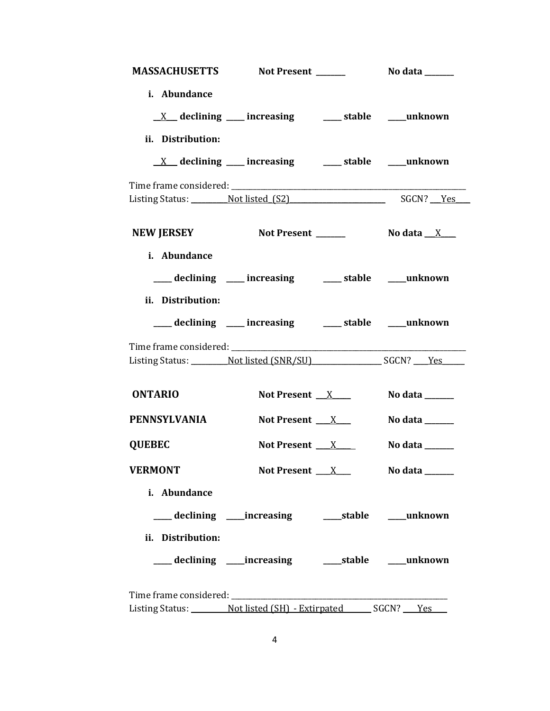|                   | MASSACHUSETTS Not Present _______ No data ______                             |                     |                                     |
|-------------------|------------------------------------------------------------------------------|---------------------|-------------------------------------|
| i. Abundance      |                                                                              |                     |                                     |
| ii. Distribution: | $\underline{X}$ declining ___ increasing ____ stable ___ unknown             |                     |                                     |
|                   | $\underline{X}$ declining ___ increasing ___ stable ___ unknown              |                     |                                     |
|                   | Listing Status: Not listed (S2) SGCN? Yes                                    |                     |                                     |
|                   | NEW JERSEY Not Present ________ No data _X ___                               |                     |                                     |
| i. Abundance      |                                                                              |                     |                                     |
|                   | ___ declining ___ increasing ____ stable ___ unknown                         |                     |                                     |
| ii. Distribution: | ____ declining ____ increasing ____ stable ____ unknown                      |                     |                                     |
|                   | Listing Status: Not listed (SNR/SU) SGCN? Yes                                |                     |                                     |
| <b>ONTARIO</b>    | Not Present $X$                                                              |                     | No data $\_\_\_\_\_\_\_\_\_\_\_\_\$ |
| PENNSYLVANIA      | Not Present $\quad$ $\quad$ $\quad$ $\quad$ $\quad$                          |                     | No data _______                     |
| <b>QUEBEC</b>     | Not Present $X$                                                              |                     | No data _______                     |
| <b>VERMONT</b>    |                                                                              | Not Present $\_\ X$ | No data _______                     |
| i. Abundance      |                                                                              |                     |                                     |
| ii. Distribution: | ___ declining ____ increasing ______ stable _____ unknown                    |                     |                                     |
|                   |                                                                              |                     |                                     |
|                   |                                                                              |                     |                                     |
|                   | Listing Status: _________ Not listed (SH) - Extirpated _______ SGCN? ___ Yes |                     |                                     |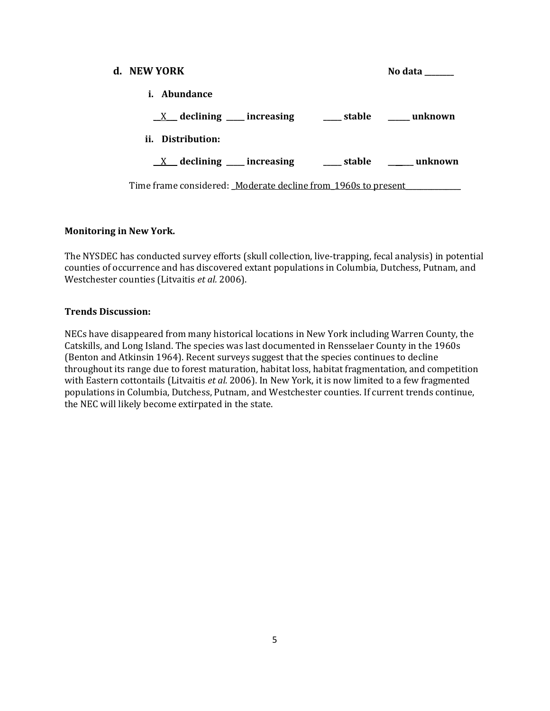| d. NEW YORK                                                   | No data        |
|---------------------------------------------------------------|----------------|
| <i>i.</i> Abundance                                           |                |
| $X$ declining ___ increasing<br>stable unknown                |                |
| ii. Distribution:                                             |                |
| $X$ declining ___ increasing                                  | stable unknown |
| Time frame considered: Moderate decline from 1960s to present |                |

# **Monitoring in New York.**

The NYSDEC has conducted survey efforts (skull collection, live-trapping, fecal analysis) in potential counties of occurrence and has discovered extant populations in Columbia, Dutchess, Putnam, and Westchester counties (Litvaitis *et al.* 2006).

### **Trends Discussion:**

NECs have disappeared from many historical locations in New York including Warren County, the Catskills, and Long Island. The species was last documented in Rensselaer County in the 1960s (Benton and Atkinsin 1964). Recent surveys suggest that the species continues to decline throughout its range due to forest maturation, habitat loss, habitat fragmentation, and competition with Eastern cottontails (Litvaitis *et al.* 2006). In New York, it is now limited to a few fragmented populations in Columbia, Dutchess, Putnam, and Westchester counties. If current trends continue, the NEC will likely become extirpated in the state.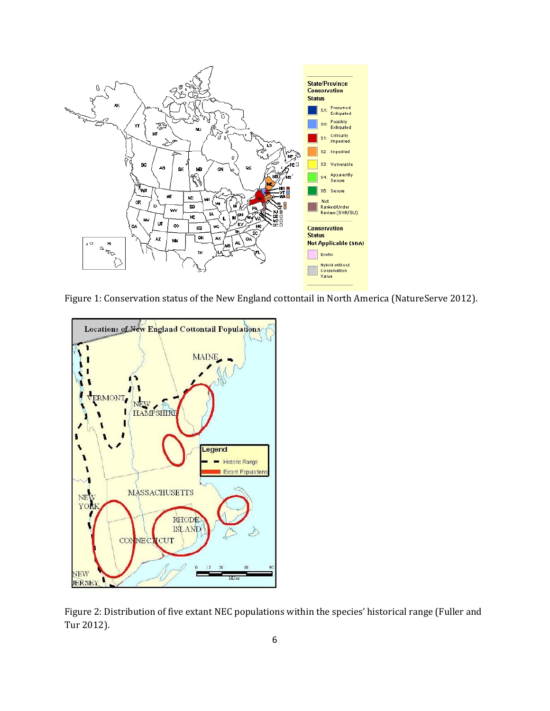

Figure 1: Conservation status of the New England cottontail in North America (NatureServe 2012).



Figure 2: Distribution of five extant NEC populations within the species' historical range (Fuller and Tur 2012).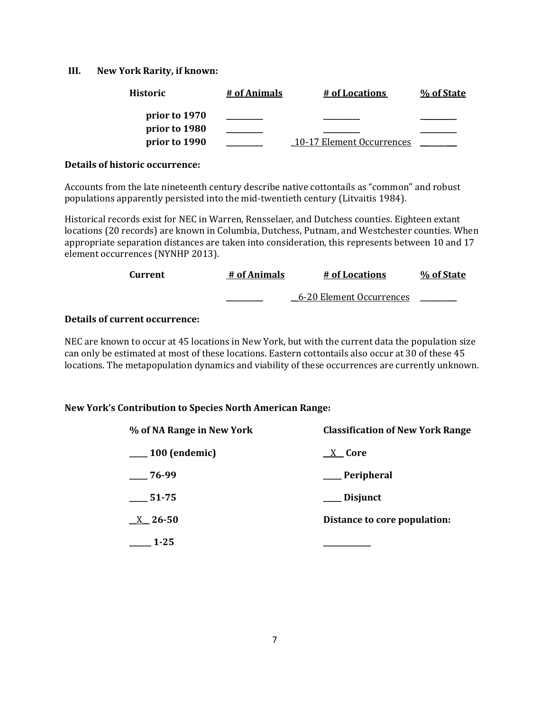### **III. New York Rarity, if known:**

| <b>Historic</b> | # of Animals | # of Locations            | % of State |
|-----------------|--------------|---------------------------|------------|
| prior to 1970   |              |                           |            |
| prior to 1980   |              |                           |            |
| prior to 1990   |              | 10-17 Element Occurrences |            |

### **Details of historic occurrence:**

Accounts from the late nineteenth century describe native cottontails as "common" and robust populations apparently persisted into the mid-twentieth century (Litvaitis 1984).

Historical records exist for NEC in Warren, Rensselaer, and Dutchess counties. Eighteen extant locations (20 records) are known in Columbia, Dutchess, Putnam, and Westchester counties. When appropriate separation distances are taken into consideration, this represents between 10 and 17 element occurrences (NYNHP 2013).

| Current | # of Animals | # of Locations           | % of State |
|---------|--------------|--------------------------|------------|
|         |              | 6-20 Element Occurrences |            |

# **Details of current occurrence:**

NEC are known to occur at 45 locations in New York, but with the current data the population size can only be estimated at most of these locations. Eastern cottontails also occur at 30 of these 45 locations. The metapopulation dynamics and viability of these occurrences are currently unknown.

# **New York's Contribution to Species North American Range:**

| % of NA Range in New York | <b>Classification of New York Range</b> |  |
|---------------------------|-----------------------------------------|--|
| $-100$ (endemic)          | X Core                                  |  |
| 76-99                     | __ Peripheral                           |  |
| $\frac{1}{2}$ 51-75       | __ Disjunct                             |  |
| $\underline{X}$ 26-50     | Distance to core population:            |  |
| $1 - 25$                  |                                         |  |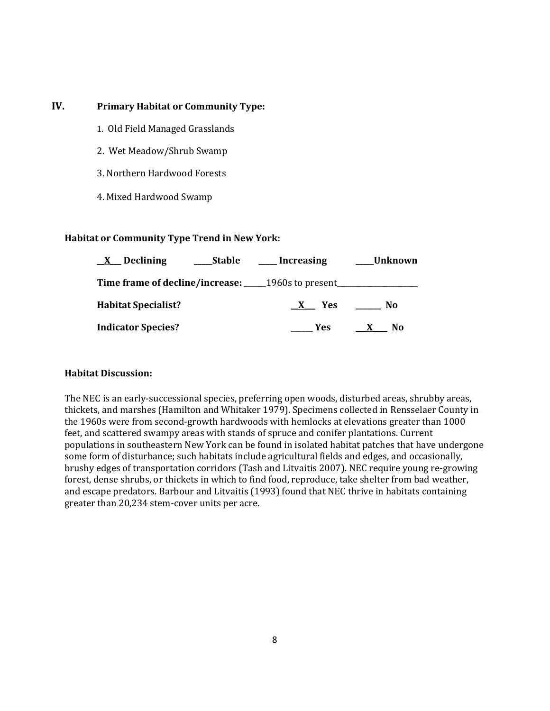# **IV. Primary Habitat or Community Type:**

- 1. Old Field Managed Grasslands
- 2. Wet Meadow/Shrub Swamp
- 3. Northern Hardwood Forests
- 4. Mixed Hardwood Swamp

### **Habitat or Community Type Trend in New York:**

| X Declining<br>____Stable                               | Increasing      | Unknown |
|---------------------------------------------------------|-----------------|---------|
| <b>Time frame of decline/increase:</b> 1960s to present |                 |         |
| <b>Habitat Specialist?</b>                              | <b>Yes</b><br>X | No      |
| <b>Indicator Species?</b>                               | <b>Yes</b>      | No.     |

# **Habitat Discussion:**

The NEC is an early-successional species, preferring open woods, disturbed areas, shrubby areas, thickets, and marshes (Hamilton and Whitaker 1979). Specimens collected in Rensselaer County in the 1960s were from second-growth hardwoods with hemlocks at elevations greater than 1000 feet, and scattered swampy areas with stands of spruce and conifer plantations. Current populations in southeastern New York can be found in isolated habitat patches that have undergone some form of disturbance; such habitats include agricultural fields and edges, and occasionally, brushy edges of transportation corridors (Tash and Litvaitis 2007). NEC require young re-growing forest, dense shrubs, or thickets in which to find food, reproduce, take shelter from bad weather, and escape predators. Barbour and Litvaitis (1993) found that NEC thrive in habitats containing greater than 20,234 stem-cover units per acre.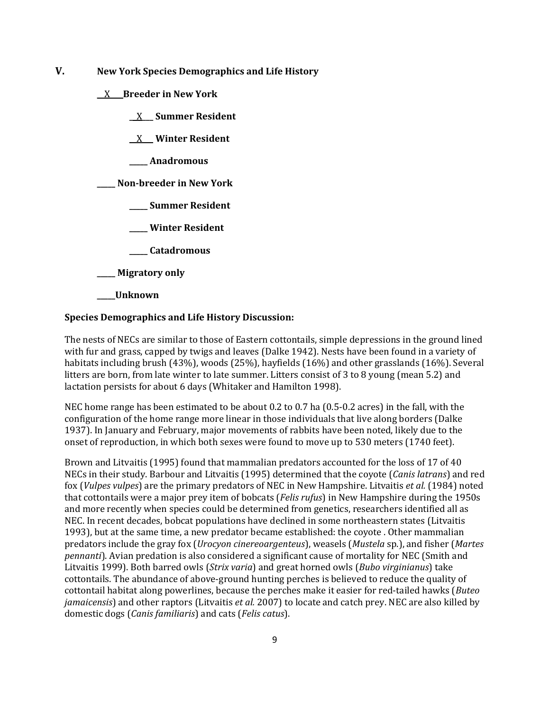**V. New York Species Demographics and Life History**

**\_\_**X**\_\_\_ Breeder in New York**

**\_\_**X**\_\_\_ Summer Resident**

**\_\_**X\_\_\_ **Winter Resident**

**\_\_\_\_\_ Anadromous**

**\_\_\_\_\_ Non-breeder in New York**

**\_\_\_\_\_ Summer Resident**

**\_\_\_\_\_ Winter Resident**

**\_\_\_\_\_ Catadromous**

**\_\_\_\_\_ Migratory only**

**\_\_\_\_\_Unknown**

### **Species Demographics and Life History Discussion:**

The nests of NECs are similar to those of Eastern cottontails, simple depressions in the ground lined with fur and grass, capped by twigs and leaves (Dalke 1942). Nests have been found in a variety of habitats including brush (43%), woods (25%), hayfields (16%) and other grasslands (16%). Several litters are born, from late winter to late summer. Litters consist of 3 to 8 young (mean 5.2) and lactation persists for about 6 days (Whitaker and Hamilton 1998).

NEC home range has been estimated to be about 0.2 to 0.7 ha (0.5-0.2 acres) in the fall, with the configuration of the home range more linear in those individuals that live along borders (Dalke 1937). In January and February, major movements of rabbits have been noted, likely due to the onset of reproduction, in which both sexes were found to move up to 530 meters (1740 feet).

Brown and Litvaitis (1995) found that mammalian predators accounted for the loss of 17 of 40 NECs in their study. Barbour and Litvaitis (1995) determined that the coyote (*Canis latrans*) and red fox (*Vulpes vulpes*) are the primary predators of NEC in New Hampshire. Litvaitis *et al.* (1984) noted that cottontails were a major prey item of bobcats (*Felis rufus*) in New Hampshire during the 1950s and more recently when species could be determined from genetics, researchers identified all as NEC. In recent decades, bobcat populations have declined in some northeastern states (Litvaitis 1993), but at the same time, a new predator became established: the coyote . Other mammalian predators include the gray fox (*Urocyon cinereoargenteus*), weasels (*Mustela* sp.), and fisher (*Martes pennanti*). Avian predation is also considered a significant cause of mortality for NEC (Smith and Litvaitis 1999). Both barred owls (*Strix varia*) and great horned owls (*Bubo virginianus*) take cottontails. The abundance of above-ground hunting perches is believed to reduce the quality of cottontail habitat along powerlines, because the perches make it easier for red-tailed hawks (*Buteo jamaicensis*) and other raptors (Litvaitis *et al.* 2007) to locate and catch prey. NEC are also killed by domestic dogs (*Canis familiaris*) and cats (*Felis catus*).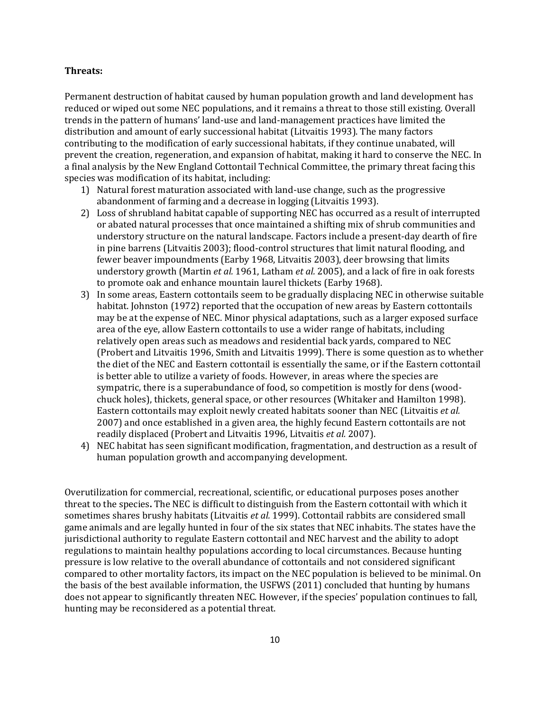#### **Threats:**

Permanent destruction of habitat caused by human population growth and land development has reduced or wiped out some NEC populations, and it remains a threat to those still existing. Overall trends in the pattern of humans' land-use and land-management practices have limited the distribution and amount of early successional habitat (Litvaitis 1993). The many factors contributing to the modification of early successional habitats, if they continue unabated, will prevent the creation, regeneration, and expansion of habitat, making it hard to conserve the NEC. In a final analysis by the New England Cottontail Technical Committee, the primary threat facing this species was modification of its habitat, including:

- 1) Natural forest maturation associated with land-use change, such as the progressive abandonment of farming and a decrease in logging (Litvaitis 1993).
- 2) Loss of shrubland habitat capable of supporting NEC has occurred as a result of interrupted or abated natural processes that once maintained a shifting mix of shrub communities and understory structure on the natural landscape. Factors include a present-day dearth of fire in pine barrens (Litvaitis 2003); flood-control structures that limit natural flooding, and fewer beaver impoundments (Earby 1968, Litvaitis 2003), deer browsing that limits understory growth (Martin *et al.* 1961, Latham *et al.* 2005), and a lack of fire in oak forests to promote oak and enhance mountain laurel thickets (Earby 1968).
- 3) In some areas, Eastern cottontails seem to be gradually displacing NEC in otherwise suitable habitat. Johnston (1972) reported that the occupation of new areas by Eastern cottontails may be at the expense of NEC. Minor physical adaptations, such as a larger exposed surface area of the eye, allow Eastern cottontails to use a wider range of habitats, including relatively open areas such as meadows and residential back yards, compared to NEC (Probert and Litvaitis 1996, Smith and Litvaitis 1999). There is some question as to whether the diet of the NEC and Eastern cottontail is essentially the same, or if the Eastern cottontail is better able to utilize a variety of foods. However, in areas where the species are sympatric, there is a superabundance of food, so competition is mostly for dens (woodchuck holes), thickets, general space, or other resources (Whitaker and Hamilton 1998). Eastern cottontails may exploit newly created habitats sooner than NEC (Litvaitis *et al.*  2007) and once established in a given area, the highly fecund Eastern cottontails are not readily displaced (Probert and Litvaitis 1996, Litvaitis *et al.* 2007).
- 4) NEC habitat has seen significant modification, fragmentation, and destruction as a result of human population growth and accompanying development.

Overutilization for commercial, recreational, scientific, or educational purposes poses another threat to the species**.** The NEC is difficult to distinguish from the Eastern cottontail with which it sometimes shares brushy habitats (Litvaitis *et al.* 1999). Cottontail rabbits are considered small game animals and are legally hunted in four of the six states that NEC inhabits. The states have the jurisdictional authority to regulate Eastern cottontail and NEC harvest and the ability to adopt regulations to maintain healthy populations according to local circumstances. Because hunting pressure is low relative to the overall abundance of cottontails and not considered significant compared to other mortality factors, its impact on the NEC population is believed to be minimal. On the basis of the best available information, the USFWS (2011) concluded that hunting by humans does not appear to significantly threaten NEC. However, if the species' population continues to fall, hunting may be reconsidered as a potential threat.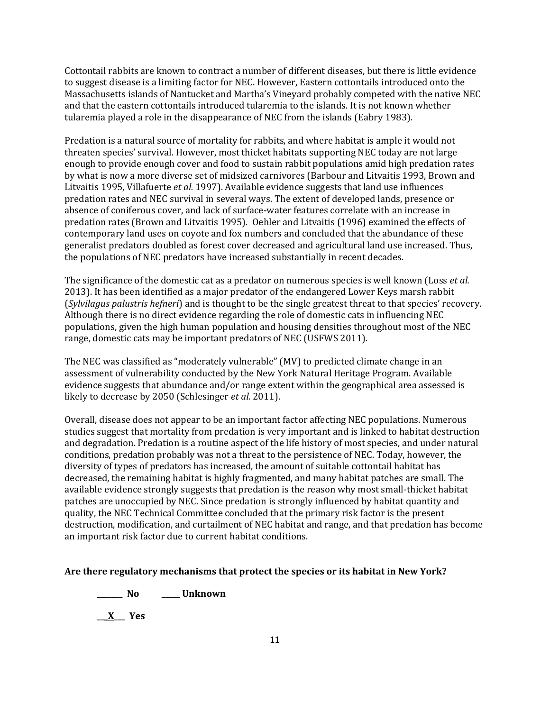Cottontail rabbits are known to contract a number of different diseases, but there is little evidence to suggest disease is a limiting factor for NEC. However, Eastern cottontails introduced onto the Massachusetts islands of Nantucket and Martha's Vineyard probably competed with the native NEC and that the eastern cottontails introduced tularemia to the islands. It is not known whether tularemia played a role in the disappearance of NEC from the islands (Eabry 1983).

Predation is a natural source of mortality for rabbits, and where habitat is ample it would not threaten species' survival. However, most thicket habitats supporting NEC today are not large enough to provide enough cover and food to sustain rabbit populations amid high predation rates by what is now a more diverse set of midsized carnivores (Barbour and Litvaitis 1993, Brown and Litvaitis 1995, Villafuerte *et al.* 1997). Available evidence suggests that land use influences predation rates and NEC survival in several ways. The extent of developed lands, presence or absence of coniferous cover, and lack of surface-water features correlate with an increase in predation rates (Brown and Litvaitis 1995). Oehler and Litvaitis (1996) examined the effects of contemporary land uses on coyote and fox numbers and concluded that the abundance of these generalist predators doubled as forest cover decreased and agricultural land use increased. Thus, the populations of NEC predators have increased substantially in recent decades.

The significance of the domestic cat as a predator on numerous species is well known (Loss *et al.* 2013). It has been identified as a major predator of the endangered Lower Keys marsh rabbit (*Sylvilagus palustris hefneri*) and is thought to be the single greatest threat to that species' recovery. Although there is no direct evidence regarding the role of domestic cats in influencing NEC populations, given the high human population and housing densities throughout most of the NEC range, domestic cats may be important predators of NEC (USFWS 2011).

The NEC was classified as "moderately vulnerable" (MV) to predicted climate change in an assessment of vulnerability conducted by the New York Natural Heritage Program. Available evidence suggests that abundance and/or range extent within the geographical area assessed is likely to decrease by 2050 (Schlesinger *et al.* 2011).

Overall, disease does not appear to be an important factor affecting NEC populations. Numerous studies suggest that mortality from predation is very important and is linked to habitat destruction and degradation. Predation is a routine aspect of the life history of most species, and under natural conditions, predation probably was not a threat to the persistence of NEC. Today, however, the diversity of types of predators has increased, the amount of suitable cottontail habitat has decreased, the remaining habitat is highly fragmented, and many habitat patches are small. The available evidence strongly suggests that predation is the reason why most small-thicket habitat patches are unoccupied by NEC. Since predation is strongly influenced by habitat quantity and quality, the NEC Technical Committee concluded that the primary risk factor is the present destruction, modification, and curtailment of NEC habitat and range, and that predation has become an important risk factor due to current habitat conditions.

### **Are there regulatory mechanisms that protect the species or its habitat in New York?**

**\_\_\_\_\_\_\_ No \_\_\_\_\_ Unknown** \_\_\_**X**\_\_\_ **Yes**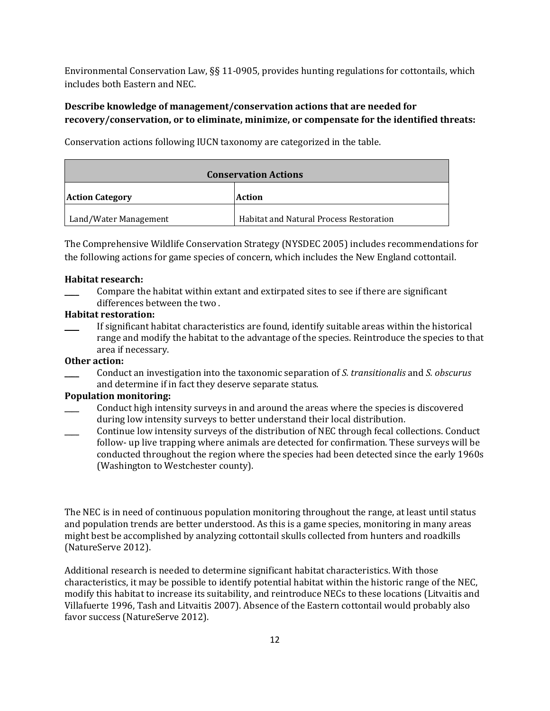Environmental Conservation Law, §§ 11-0905, provides hunting regulations for cottontails, which includes both Eastern and NEC.

# **Describe knowledge of management/conservation actions that are needed for recovery/conservation, or to eliminate, minimize, or compensate for the identified threats:**

**Conservation Actions Action Category Action** Land/Water Management Habitat and Natural Process Restoration

Conservation actions following IUCN taxonomy are categorized in the table.

The Comprehensive Wildlife Conservation Strategy (NYSDEC 2005) includes recommendations for the following actions for game species of concern, which includes the New England cottontail.

# **Habitat research:**

\_\_\_\_ Compare the habitat within extant and extirpated sites to see if there are significant differences between the two .

### **Habitat restoration:**

If significant habitat characteristics are found, identify suitable areas within the historical range and modify the habitat to the advantage of the species. Reintroduce the species to that area if necessary.

# **Other action:**

\_\_\_\_ Conduct an investigation into the taxonomic separation of *S. transitionalis* and *S. obscurus* and determine if in fact they deserve separate status.

# **Population monitoring:**

- \_\_\_\_ Conduct high intensity surveys in and around the areas where the species is discovered during low intensity surveys to better understand their local distribution.
- Continue low intensity surveys of the distribution of NEC through fecal collections. Conduct follow- up live trapping where animals are detected for confirmation. These surveys will be conducted throughout the region where the species had been detected since the early 1960s (Washington to Westchester county).

The NEC is in need of continuous population monitoring throughout the range, at least until status and population trends are better understood. As this is a game species, monitoring in many areas might best be accomplished by analyzing cottontail skulls collected from hunters and roadkills (NatureServe 2012).

Additional research is needed to determine significant habitat characteristics. With those characteristics, it may be possible to identify potential habitat within the historic range of the NEC, modify this habitat to increase its suitability, and reintroduce NECs to these locations (Litvaitis and Villafuerte 1996, Tash and Litvaitis 2007). Absence of the Eastern cottontail would probably also favor success (NatureServe 2012).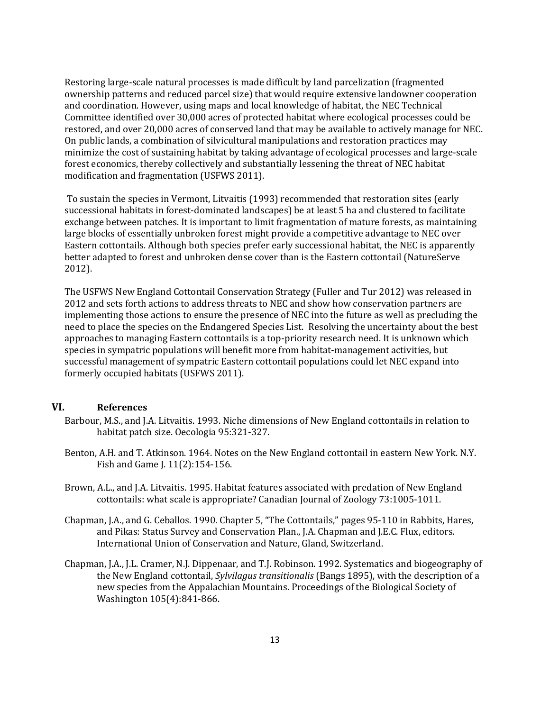Restoring large-scale natural processes is made difficult by land parcelization (fragmented ownership patterns and reduced parcel size) that would require extensive landowner cooperation and coordination. However, using maps and local knowledge of habitat, the NEC Technical Committee identified over 30,000 acres of protected habitat where ecological processes could be restored, and over 20,000 acres of conserved land that may be available to actively manage for NEC. On public lands, a combination of silvicultural manipulations and restoration practices may minimize the cost of sustaining habitat by taking advantage of ecological processes and large-scale forest economics, thereby collectively and substantially lessening the threat of NEC habitat modification and fragmentation (USFWS 2011).

To sustain the species in Vermont, Litvaitis (1993) recommended that restoration sites (early successional habitats in forest-dominated landscapes) be at least 5 ha and clustered to facilitate exchange between patches. It is important to limit fragmentation of mature forests, as maintaining large blocks of essentially unbroken forest might provide a competitive advantage to NEC over Eastern cottontails. Although both species prefer early successional habitat, the NEC is apparently better adapted to forest and unbroken dense cover than is the Eastern cottontail (NatureServe 2012).

The USFWS New England Cottontail Conservation Strategy (Fuller and Tur 2012) was released in 2012 and sets forth actions to address threats to NEC and show how conservation partners are implementing those actions to ensure the presence of NEC into the future as well as precluding the need to place the species on the Endangered Species List. Resolving the uncertainty about the best approaches to managing Eastern cottontails is a top-priority research need. It is unknown which species in sympatric populations will benefit more from habitat-management activities, but successful management of sympatric Eastern cottontail populations could let NEC expand into formerly occupied habitats (USFWS 2011).

# **VI. References**

- Barbour, M.S., and J.A. Litvaitis. 1993. Niche dimensions of New England cottontails in relation to habitat patch size. Oecologia 95:321-327.
- Benton, A.H. and T. Atkinson. 1964. Notes on the New England cottontail in eastern New York. N.Y. Fish and Game J. 11(2):154-156.
- Brown, A.L., and J.A. Litvaitis. 1995. Habitat features associated with predation of New England cottontails: what scale is appropriate? Canadian Journal of Zoology 73:1005-1011.
- Chapman, J.A., and G. Ceballos. 1990. Chapter 5, "The Cottontails," pages 95-110 in Rabbits, Hares, and Pikas: Status Survey and Conservation Plan., J.A. Chapman and J.E.C. Flux, editors. International Union of Conservation and Nature, Gland, Switzerland.
- Chapman, J.A., J.L. Cramer, N.J. Dippenaar, and T.J. Robinson. 1992. Systematics and biogeography of the New England cottontail, *Sylvilagus transitionalis* (Bangs 1895), with the description of a new species from the Appalachian Mountains. Proceedings of the Biological Society of Washington 105(4):841-866.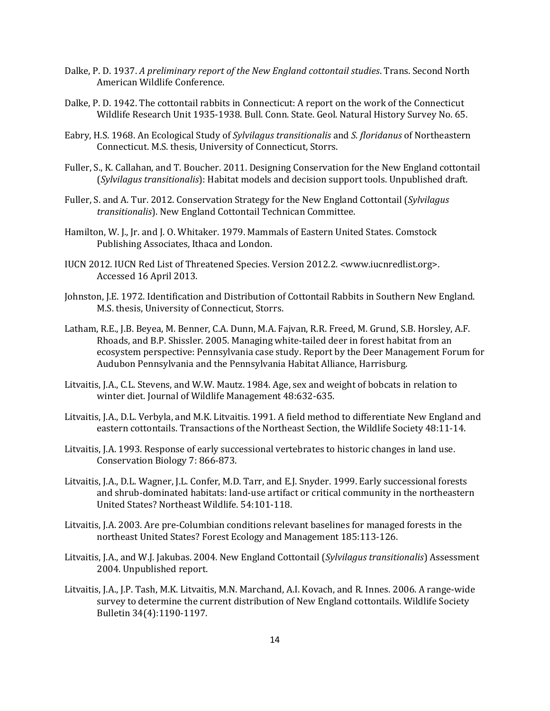- Dalke, P. D. 1937. *A preliminary report of the New England cottontail studies*. Trans. Second North American Wildlife Conference.
- Dalke, P. D. 1942. The cottontail rabbits in Connecticut: A report on the work of the Connecticut Wildlife Research Unit 1935-1938. Bull. Conn. State. Geol. Natural History Survey No. 65.
- Eabry, H.S. 1968. An Ecological Study of *Sylvilagus transitionalis* and *S. floridanus* of Northeastern Connecticut. M.S. thesis, University of Connecticut, Storrs.
- Fuller, S., K. Callahan, and T. Boucher. 2011. Designing Conservation for the New England cottontail (*Sylvilagus transitionalis*): Habitat models and decision support tools. Unpublished draft.
- Fuller, S. and A. Tur. 2012. Conservation Strategy for the New England Cottontail (*Sylvilagus transitionalis*). New England Cottontail Technican Committee.
- Hamilton, W. J., Jr. and J. O. Whitaker. 1979. Mammals of Eastern United States. Comstock Publishing Associates, Ithaca and London.
- IUCN 2012. IUCN Red List of Threatened Species. Version 2012.2. <www.iucnredlist.org>. Accessed 16 April 2013.
- Johnston, J.E. 1972. Identification and Distribution of Cottontail Rabbits in Southern New England. M.S. thesis, University of Connecticut, Storrs.
- Latham, R.E., J.B. Beyea, M. Benner, C.A. Dunn, M.A. Fajvan, R.R. Freed, M. Grund, S.B. Horsley, A.F. Rhoads, and B.P. Shissler. 2005. Managing white-tailed deer in forest habitat from an ecosystem perspective: Pennsylvania case study. Report by the Deer Management Forum for Audubon Pennsylvania and the Pennsylvania Habitat Alliance, Harrisburg.
- Litvaitis, J.A., C.L. Stevens, and W.W. Mautz. 1984. Age, sex and weight of bobcats in relation to winter diet. Journal of Wildlife Management 48:632-635.
- Litvaitis, J.A., D.L. Verbyla, and M.K. Litvaitis. 1991. A field method to differentiate New England and eastern cottontails. Transactions of the Northeast Section, the Wildlife Society 48:11-14.
- Litvaitis, J.A. 1993. Response of early successional vertebrates to historic changes in land use. Conservation Biology 7: 866-873.
- Litvaitis, J.A., D.L. Wagner, J.L. Confer, M.D. Tarr, and E.J. Snyder. 1999. Early successional forests and shrub-dominated habitats: land-use artifact or critical community in the northeastern United States? Northeast Wildlife. 54:101-118.
- Litvaitis, J.A. 2003. Are pre-Columbian conditions relevant baselines for managed forests in the northeast United States? Forest Ecology and Management 185:113-126.
- Litvaitis, J.A., and W.J. Jakubas. 2004. New England Cottontail (*Sylvilagus transitionalis*) Assessment 2004. Unpublished report.
- Litvaitis, J.A., J.P. Tash, M.K. Litvaitis, M.N. Marchand, A.I. Kovach, and R. Innes. 2006. A range-wide survey to determine the current distribution of New England cottontails. Wildlife Society Bulletin 34(4):1190-1197.